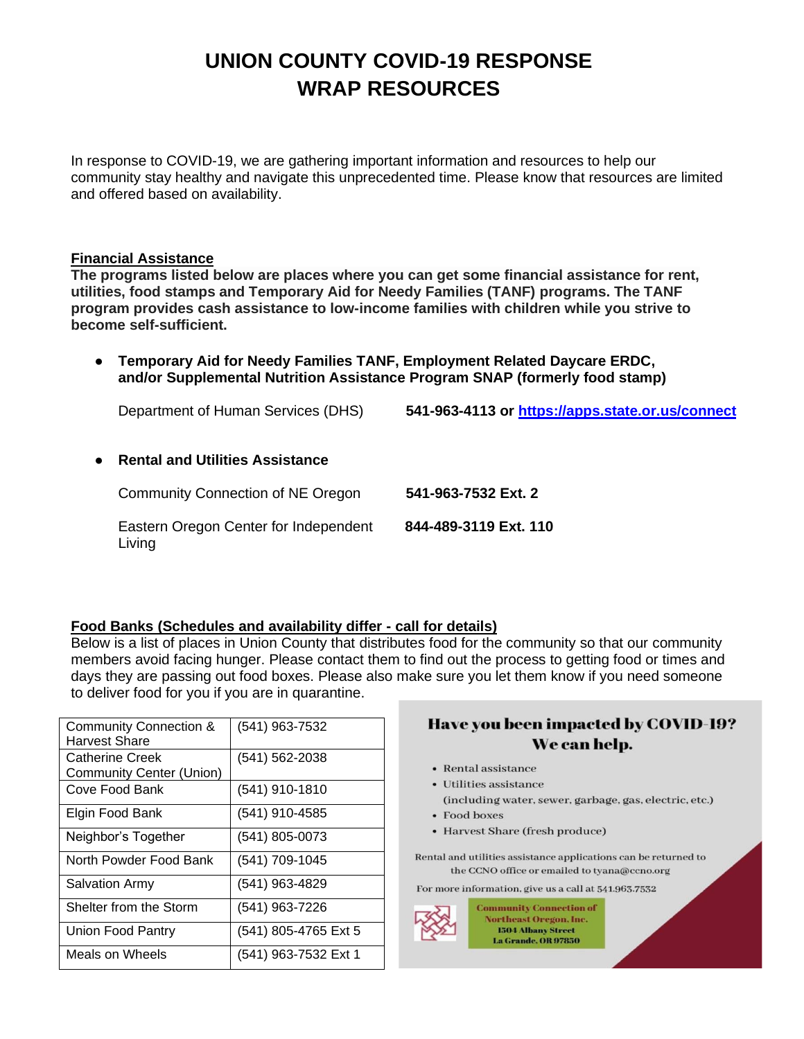# **UNION COUNTY COVID-19 RESPONSE WRAP RESOURCES**

In response to COVID-19, we are gathering important information and resources to help our community stay healthy and navigate this unprecedented time. Please know that resources are limited and offered based on availability.

#### **Financial Assistance**

**The programs listed below are places where you can get some financial assistance for rent, utilities, food stamps and Temporary Aid for Needy Families (TANF) programs. The TANF program provides cash assistance to low-income families with children while you strive to become self-sufficient.**

● **Temporary Aid for Needy Families TANF, Employment Related Daycare ERDC, and/or Supplemental Nutrition Assistance Program SNAP (formerly food stamp)**

Department of Human Services (DHS) **541-963-4113 or <https://apps.state.or.us/connect>**

● **Rental and Utilities Assistance** 

Community Connection of NE Oregon **541-963-7532 Ext. 2** Eastern Oregon Center for Independent **844-489-3119 Ext. 110** Living

#### **Food Banks (Schedules and availability differ - call for details)**

Below is a list of places in Union County that distributes food for the community so that our community members avoid facing hunger. Please contact them to find out the process to getting food or times and days they are passing out food boxes. Please also make sure you let them know if you need someone to deliver food for you if you are in quarantine.

| <b>Community Connection &amp;</b><br><b>Harvest Share</b> | (541) 963-7532       |
|-----------------------------------------------------------|----------------------|
| <b>Catherine Creek</b><br><b>Community Center (Union)</b> | $(541) 562 - 2038$   |
| Cove Food Bank                                            | (541) 910-1810       |
| Elgin Food Bank                                           | (541) 910-4585       |
| Neighbor's Together                                       | $(541)$ 805-0073     |
| North Powder Food Bank                                    | (541) 709-1045       |
| <b>Salvation Army</b>                                     | (541) 963-4829       |
| Shelter from the Storm                                    | (541) 963-7226       |
| Union Food Pantry                                         | (541) 805-4765 Ext 5 |
| Meals on Wheels                                           | (541) 963-7532 Ext 1 |

# Have you been impacted by COVID-19? We can help.

- Rental assistance
- Utilities assistance
- (including water, sewer, garbage, gas, electric, etc.)
- Food boxes
- Harvest Share (fresh produce)

Rental and utilities assistance applications can be returned to the CCNO office or emailed to tyana@ccno.org

For more information, give us a call at 541.963.7532

**Community Connection of Northeast Oregon, Inc. 1504 Albany Street La Grande, OR 97850**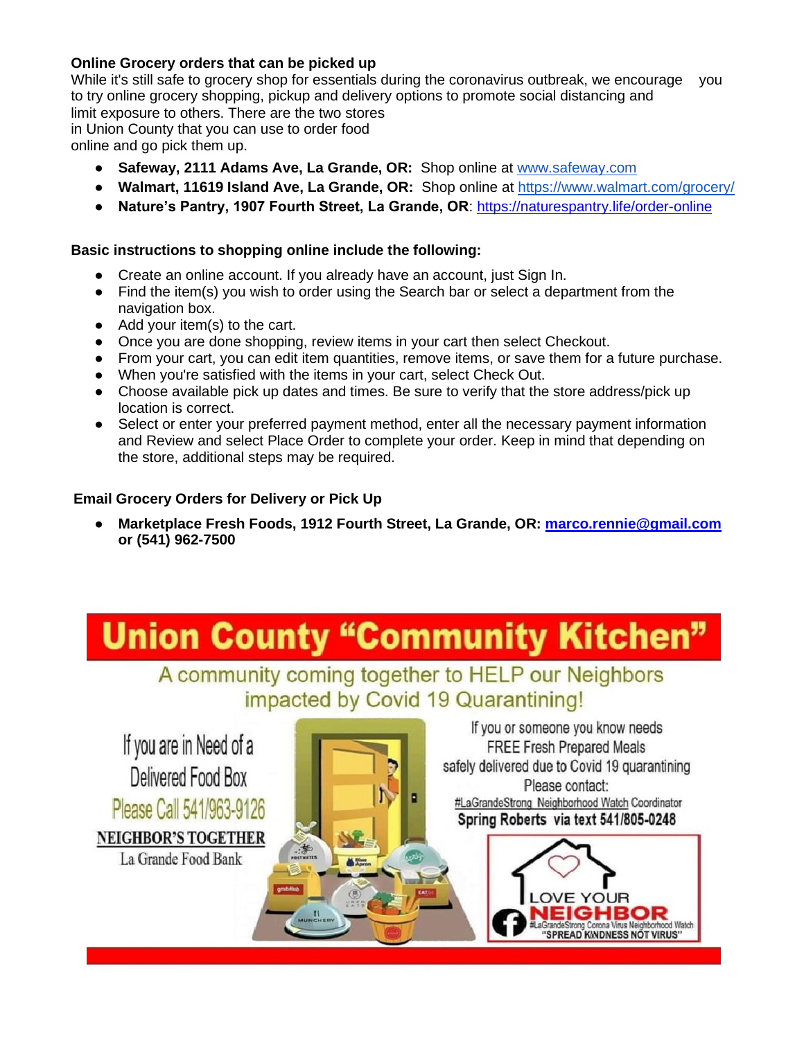# **Online Grocery orders that can be picked up**

While it's still safe to grocery shop for essentials during the coronavirus outbreak, we encourage you to try online grocery shopping, pickup and delivery options to promote social distancing and limit exposure to others. There are the two stores in Union County that you can use to order food online and go pick them up.

- **Safeway, 2111 Adams Ave, La Grande, OR:** Shop online at [www.safeway.com](http://www.safeway.com/)
- **Walmart, 11619 Island Ave, La Grande, OR:** Shop online at<https://www.walmart.com/grocery/>
- **Nature's Pantry, 1907 Fourth Street, La Grande, OR**: <https://naturespantry.life/order-online>

# **Basic instructions to shopping online include the following:**

- Create an online account. If you already have an account, just Sign In.
- Find the item(s) you wish to order using the Search bar or select a department from the navigation box.
- Add your item(s) to the cart.
- Once you are done shopping, review items in your cart then select Checkout.
- From your cart, you can edit item quantities, remove items, or save them for a future purchase.
- When you're satisfied with the items in your cart, select Check Out.
- Choose available pick up dates and times. Be sure to verify that the store address/pick up location is correct.
- Select or enter your preferred payment method, enter all the necessary payment information and Review and select Place Order to complete your order. Keep in mind that depending on the store, additional steps may be required.

# **Email Grocery Orders for Delivery or Pick Up**

● **Marketplace Fresh Foods, 1912 Fourth Street, La Grande, OR: [marco.rennie@gmail.com](mailto:marco.rennie@gmail.com) or (541) 962-7500**

# **Union County "Community Kitchen"**

A community coming together to HELP our Neighbors impacted by Covid 19 Quarantining!

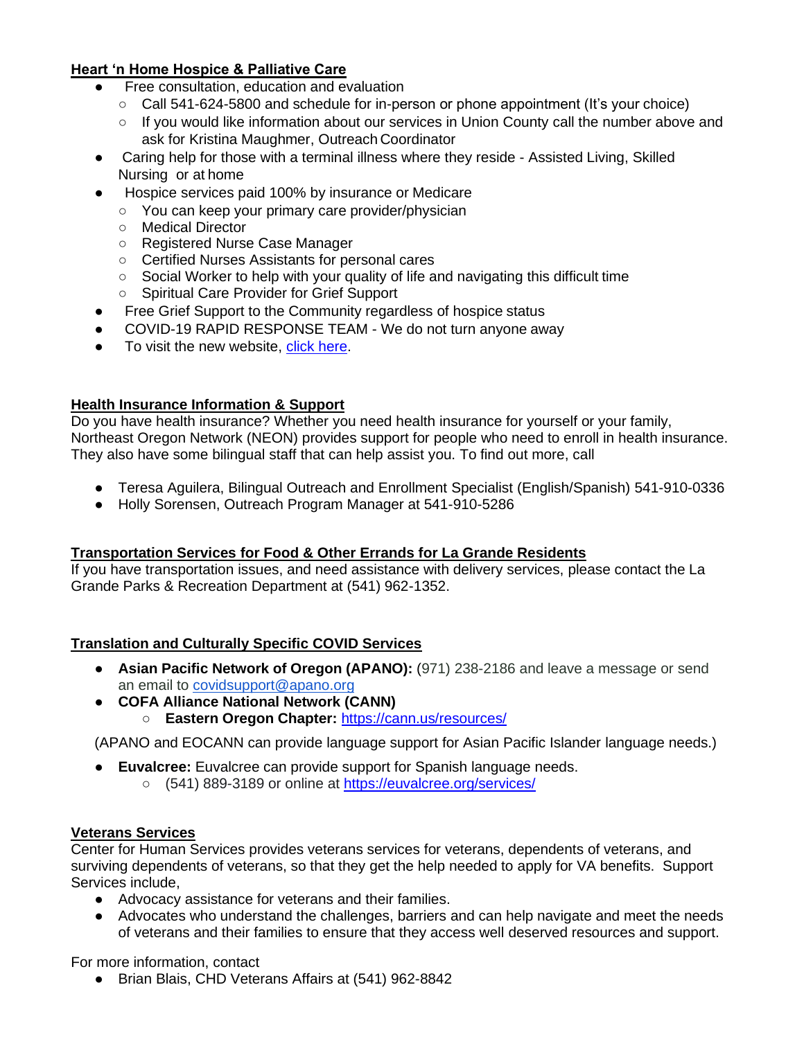# **Heart 'n Home Hospice & Palliative Care**

- Free consultation, education and evaluation
	- Call 541-624-5800 and schedule for in-person or phone appointment (It's your choice)
	- If you would like information about our services in Union County call the number above and ask for Kristina Maughmer, Outreach Coordinator
- Caring help for those with a terminal illness where they reside Assisted Living, Skilled Nursing or at home
- Hospice services paid 100% by insurance or Medicare
	- You can keep your primary care provider/physician
	- Medical Director
	- Registered Nurse Case Manager
	- Certified Nurses Assistants for personal cares
	- Social Worker to help with your quality of life and navigating this difficult time
	- Spiritual Care Provider for Grief Support
- Free Grief Support to the Community regardless of hospice status
- COVID-19 RAPID RESPONSE TEAM We do not turn anyone away
- To visit the new website, [click here.](https://lhcgroup.com/locations/heart-n-home-hospice-and-palliative-care-la-grande/?fbclid=IwAR3zEqbUuxZQqkvJsQYmDDo2SdPI73gl60lbscd7ka6AMFVD4RKQ0dS22JU)

# **Health Insurance Information & Support**

Do you have health insurance? Whether you need health insurance for yourself or your family, Northeast Oregon Network (NEON) provides support for people who need to enroll in health insurance. They also have some bilingual staff that can help assist you. To find out more, call

- Teresa Aguilera, Bilingual Outreach and Enrollment Specialist (English/Spanish) 541-910-0336
- Holly Sorensen, Outreach Program Manager at 541-910-5286

#### **Transportation Services for Food & Other Errands for La Grande Residents**

If you have transportation issues, and need assistance with delivery services, please contact the La Grande Parks & Recreation Department at (541) 962-1352.

# **Translation and Culturally Specific COVID Services**

- **Asian Pacific Network of Oregon (APANO):** (971) 238-2186 and leave a message or send an email to [covidsupport@apano.org](mailto:covidsupport@apano.org)
- **COFA Alliance National Network (CANN)** ○ **Eastern Oregon Chapter:** <https://cann.us/resources/>

(APANO and EOCANN can provide language support for Asian Pacific Islander language needs.)

- **Euvalcree:** Euvalcree can provide support for Spanish language needs.
	- (541) 889-3189 or online at<https://euvalcree.org/services/>

#### **Veterans Services**

Center for Human Services provides veterans services for veterans, dependents of veterans, and surviving dependents of veterans, so that they get the help needed to apply for VA benefits. Support Services include,

- Advocacy assistance for veterans and their families.
- Advocates who understand the challenges, barriers and can help navigate and meet the needs of veterans and their families to ensure that they access well deserved resources and support.

For more information, contact

● Brian Blais, CHD Veterans Affairs at (541) 962-8842